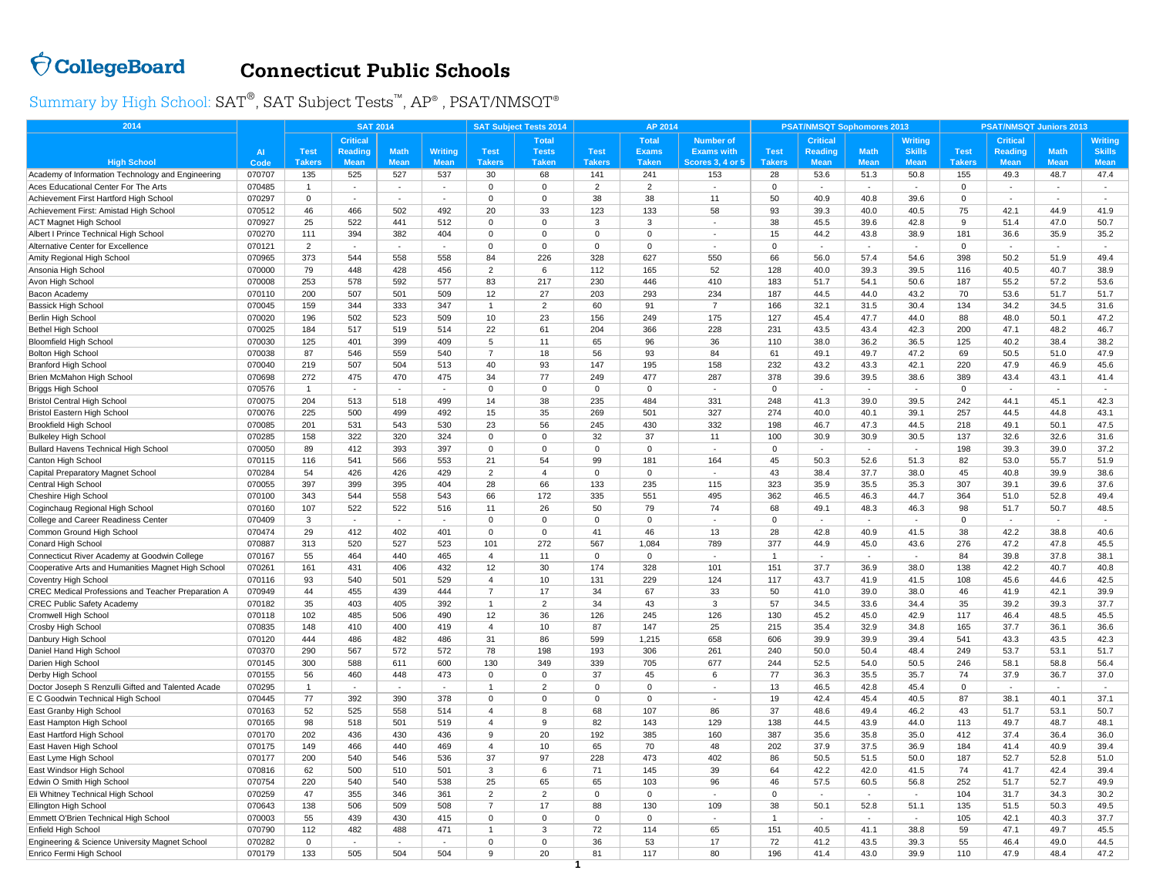## $\bigcirc$  CollegeBoard

## **Connecticut Public Schools**

Summary by High School:  $\text{SAT}^{\circledast}, \text{SAT}$  Subject  $\text{Tests}^{\text{™}}, \text{AP}^{\circledast}$  ,  $\text{PSAT/NMSOT}^{\circledast}$ 

| 2014                                                     |                  | <b>SAT 2014</b> |                 |                          |                |                         | <b>SAT Subject Tests 2014</b> |                | AP 2014              |                          |               | <b>PSAT/NMSQT Sophomores 2013</b> |                          |                | <b>PSAT/NMSQT Juniors 2013</b> |                          |                          |                |
|----------------------------------------------------------|------------------|-----------------|-----------------|--------------------------|----------------|-------------------------|-------------------------------|----------------|----------------------|--------------------------|---------------|-----------------------------------|--------------------------|----------------|--------------------------------|--------------------------|--------------------------|----------------|
|                                                          |                  |                 | <b>Critical</b> |                          |                |                         | <b>Total</b>                  |                | <b>Total</b>         | <b>Number of</b>         |               | <b>Critical</b>                   |                          | Writing        |                                | <b>Critical</b>          |                          | <b>Writing</b> |
|                                                          | <b>AI</b>        | <b>Test</b>     | <b>Reading</b>  | <b>Math</b>              | <b>Writing</b> | <b>Test</b>             | <b>Tests</b>                  | <b>Test</b>    | <b>Exams</b>         | <b>Exams with</b>        | <b>Test</b>   | <b>Reading</b>                    | <b>Math</b>              | <b>Skills</b>  | <b>Test</b>                    | <b>Reading</b>           | <b>Math</b>              | <b>Skills</b>  |
| <b>High School</b>                                       | Code             | <b>Takers</b>   | <b>Mean</b>     | <b>Mean</b>              | <b>Mean</b>    | <b>Takers</b>           | <b>Taken</b>                  | <b>Takers</b>  | <b>Taken</b>         | <b>Scores 3, 4 or 5</b>  | <b>Takers</b> | <b>Mean</b>                       | <b>Mean</b>              | <b>Mean</b>    | <b>Takers</b>                  | <b>Mean</b>              | <b>Mean</b>              | <b>Mean</b>    |
| Academy of Information Technology and Engineering        | 070707           | 135             | 525             | 527                      | 537            | 30                      | 68                            | 141            | 241                  | 153                      | 28            | 53.6                              | 51.3                     | 50.8           | 155                            | 49.3                     | 48.7                     | 47.4           |
| Aces Educational Center For The Arts                     | 070485           | $\overline{1}$  |                 |                          |                | $\Omega$                | $\overline{0}$                | $\overline{2}$ | 2                    |                          | $\Omega$      |                                   | $\overline{\phantom{a}}$ |                | $\mathbf 0$                    |                          | $\blacksquare$           | $\sim$         |
| Achievement First Hartford High School                   | 070297           | $\mathbf 0$     |                 |                          |                | $\Omega$                | $\overline{0}$                | 38             | 38                   | 11                       | 50            | 40.9                              | 40.8                     | 39.6           | $\mathbf 0$                    | ÷.                       |                          | $\sim$         |
| Achievement First: Amistad High School                   | 070512           | 46              | 466             | 502                      | 492            | 20                      | 33                            | 123            | 133                  | 58                       | 93            | 39.3                              | 40.0                     | 40.5           | 75                             | 42.1                     | 44.9                     | 41.9           |
| <b>ACT Magnet High School</b>                            | 070927           | 25              | 522             | 441                      | 512            | $\Omega$                | $\Omega$                      | 3              | 3                    |                          | 38            | 45.5                              | 39.6                     | 42.8           | 9                              | 51.4                     | 47.0                     | 50.7           |
| Albert I Prince Technical High School                    | 070270           | 111             | 394             | 382                      | 404            | $\Omega$                | $\mathbf 0$                   | $\Omega$       | $\Omega$             | $\sim$                   | 15            | 44.2                              | 43.8                     | 38.9           | 181                            | 36.6                     | 35.9                     | 35.2           |
| <b>Alternative Center for Excellence</b>                 | 070121           | $\overline{2}$  | ×,              | ÷.                       |                | $\Omega$                | $\Omega$                      | $\Omega$       | $\Omega$             |                          | $\Omega$      |                                   | $\overline{\phantom{a}}$ | ×.             | $\Omega$                       |                          | ÷.                       | $\sim$         |
| Amity Regional High School                               | 070965           | 373             | 544             | 558                      | 558            | 84                      | 226                           | 328            | 627                  | 550                      | 66            | 56.0                              | 57.4                     | 54.6           | 398                            | 50.2                     | 51.9                     | 49.4           |
| Ansonia High School                                      | 070000           | 79              | 448             | 428                      | 456            | 2                       | 6                             | 112            | 165                  | 52                       | 128           | 40.0                              | 39.3                     | 39.5           | 116                            | 40.5                     | 40.7                     | 38.9           |
| Avon High School                                         | 070008           | 253             | 578             | 592                      | 577            | 83                      | 217                           | 230            | 446                  | 410                      | 183           | 51.7                              | 54.1                     | 50.6           | 187                            | 55.2                     | 57.2                     | 53.6           |
| Bacon Academy                                            | 070110           | 200             | 507             | 501                      | 509            | 12                      | 27                            | 203            | 293                  | 234                      | 187           | 44.5                              | 44.0                     | 43.2           | 70                             | 53.6                     | 51.7                     | 51.7           |
| Bassick High School                                      | 070045           | 159             | 344             | 333                      | 347            | $\mathbf{1}$            | $\overline{2}$                | 60             | 91                   | $\overline{7}$           | 166           | 32.1                              | 31.5                     | 30.4           | 134                            | 34.2                     | 34.5                     | 31.6           |
| Berlin High School                                       | 070020           | 196             | 502             | 523                      | 509            | 10                      | 23                            | 156            | 249                  | 175<br>228               | 127           | 45.4                              | 47.7                     | 44.0           | 88                             | 48.0                     | 50.1                     | 47.2           |
| Bethel High Schoo                                        | 070025           | 184             | 517             | 519                      | 514            | 22<br>5                 | 61<br>11                      | 204            | 366                  |                          | 231<br>110    | 43.5                              | 43.4                     | 42.3           | 200<br>125                     | 47.1                     | 48.2                     | 46.7           |
| <b>Bloomfield High School</b>                            | 070030<br>070038 | 125<br>87       | 401<br>546      | 399<br>559               | 409<br>540     | $\overline{7}$          | 18                            | 65<br>56       | 96<br>93             | 36<br>84                 | 61            | 38.0<br>49.1                      | 36.2<br>49.7             | 36.5<br>47.2   | 69                             | 40.2<br>50.5             | 38.4<br>51.0             | 38.2<br>47.9   |
| <b>Bolton High School</b>                                | 070040           | 219             | 507             | 504                      | 513            | 40                      | 93                            | 147            | 195                  | 158                      | 232           | 43.2                              | 43.3                     | 42.1           | 220                            | 47.9                     | 46.9                     | 45.6           |
| <b>Branford High School</b><br>Brien McMahon High School | 070698           | 272             | 475             | 470                      | 475            | 34                      | 77                            | 249            | 477                  | 287                      | 378           | 39.6                              | 39.5                     | 38.6           | 389                            | 43.4                     | 43.1                     | 41.4           |
| Briggs High School                                       | 070576           | $\mathbf{1}$    | ×               | ×.                       | $\sim$         | 0                       | $\mathbf 0$                   | $\mathbf 0$    | $\mathbf 0$          | ÷,                       | $\mathbf 0$   |                                   | $\sim$                   | ×.             | $\overline{0}$                 | ÷.                       | $\overline{\phantom{a}}$ | $\sim$         |
| <b>Bristol Central High School</b>                       | 070075           | 204             | 513             | 518                      | 499            | 14                      | 38                            | 235            | 484                  | 331                      | 248           | 41.3                              | 39.0                     | 39.5           | 242                            | 44.1                     | 45.1                     | 42.3           |
| Bristol Eastern High School                              | 070076           | 225             | 500             | 499                      | 492            | 15                      | 35                            | 269            | 501                  | 327                      | 274           | 40.0                              | 40.1                     | 39.1           | 257                            | 44.5                     | 44.8                     | 43.1           |
| <b>Brookfield High School</b>                            | 070085           | 201             | 531             | 543                      | 530            | 23                      | 56                            | 245            | 430                  | 332                      | 198           | 46.7                              | 47.3                     | 44.5           | 218                            | 49.1                     | 50.1                     | 47.5           |
| <b>Bulkeley High School</b>                              | 070285           | 158             | 322             | 320                      | 324            | $\Omega$                | $\mathbf 0$                   | 32             | 37                   | 11                       | 100           | 30.9                              | 30.9                     | 30.5           | 137                            | 32.6                     | 32.6                     | 31.6           |
| Bullard Havens Technical High School                     | 070050           | 89              | 412             | 393                      | 397            | $\Omega$                | $\Omega$                      | $\Omega$       | $\Omega$             | ×                        | $\Omega$      |                                   | $\overline{\phantom{a}}$ | $\sim$         | 198                            | 39.3                     | 39.0                     | 37.2           |
| Canton High School                                       | 070115           | 116             | 541             | 566                      | 553            | 21                      | 54                            | 99             | 181                  | 164                      | 45            | 50.3                              | 52.6                     | 51.3           | 82                             | 53.0                     | 55.7                     | 51.9           |
| Capital Preparatory Magnet School                        | 070284           | 54              | 426             | 426                      | 429            | 2                       | $\overline{4}$                | 0              | $\mathbf 0$          |                          | 43            | 38.4                              | 37.7                     | 38.0           | 45                             | 40.8                     | 39.9                     | 38.6           |
| Central High School                                      | 070055           | 397             | 399             | 395                      | 404            | 28                      | 66                            | 133            | 235                  | 115                      | 323           | 35.9                              | 35.5                     | 35.3           | 307                            | 39.1                     | 39.6                     | 37.6           |
| Cheshire High School                                     | 070100           | 343             | 544             | 558                      | 543            | 66                      | 172                           | 335            | 551                  | 495                      | 362           | 46.5                              | 46.3                     | 44.7           | 364                            | 51.0                     | 52.8                     | 49.4           |
| Coginchaug Regional High School                          | 070160           | 107             | 522             | 522                      | 516            | 11                      | 26                            | 50             | 79                   | 74                       | 68            | 49.1                              | 48.3                     | 46.3           | 98                             | 51.7                     | 50.7                     | 48.5           |
| College and Career Readiness Center                      | 070409           | 3               | ÷,              | $\overline{\phantom{a}}$ |                | $\mathbf 0$             | $\overline{0}$                | $\mathbf 0$    | $\mathbf 0$          |                          | $\Omega$      |                                   | $\bar{z}$                | $\blacksquare$ | $\mathbf 0$                    | $\overline{\phantom{a}}$ | $\mathcal{L}$            |                |
| Common Ground High School                                | 070474           | 29              | 412             | 402                      | 401            | $\Omega$                | $\Omega$                      | 41             | 46                   | 13                       | 28            | 42.8                              | 40.9                     | 41.5           | 38                             | 42.2                     | 38.8                     | 40.6           |
| Conard High School                                       | 070887           | 313             | 520             | 527                      | 523            | 101                     | 272                           | 567            | 1,084                | 789                      | 377           | 44.9                              | 45.0                     | 43.6           | 276                            | 47.2                     | 47.8                     | 45.5           |
| Connecticut River Academy at Goodwin College             | 070167           | 55              | 464             | 440                      | 465            | $\overline{4}$          | 11                            | $\Omega$       | $\Omega$             | $\overline{\phantom{a}}$ | -1            | $\overline{a}$                    |                          | ٠              | 84                             | 39.8                     | 37.8                     | 38.1           |
| Cooperative Arts and Humanities Magnet High School       | 070261           | 161             | 431             | 406                      | 432            | 12                      | 30                            | 174            | 328                  | 101                      | 151           | 37.7                              | 36.9                     | 38.0           | 138                            | 42.2                     | 40.7                     | 40.8           |
| Coventry High School                                     | 070116           | 93              | 540             | 501                      | 529            | $\overline{4}$          | 10                            | 131            | 229                  | 124                      | 117           | 43.7                              | 41.9                     | 41.5           | 108                            | 45.6                     | 44.6                     | 42.5           |
| CREC Medical Professions and Teacher Preparation A       | 070949           | 44              | 455             | 439                      | 444            | $\overline{7}$          | 17                            | 34             | 67                   | 33                       | 50            | 41.0                              | 39.0                     | 38.0           | 46                             | 41.9                     | 42.1                     | 39.9           |
| <b>CREC Public Safety Academy</b>                        | 070182           | 35              | 403             | 405                      | 392            | $\mathbf{1}$            | $\overline{2}$                | 34             | 43                   | 3                        | 57            | 34.5                              | 33.6                     | 34.4           | 35                             | 39.2                     | 39.3                     | 37.7           |
| Cromwell High School                                     | 070118           | 102             | 485             | 506                      | 490            | 12                      | 36                            | 126            | 245                  | 126                      | 130           | 45.2                              | 45.0                     | 42.9           | 117                            | 46.4                     | 48.5                     | 45.5           |
| Crosby High School                                       | 070835           | 148             | 410             | 400                      | 419            | $\overline{4}$          | 10                            | 87             | 147                  | 25                       | 215           | 35.4                              | 32.9                     | 34.8           | 165                            | 37.7                     | 36.1                     | 36.6           |
| Danbury High School                                      | 070120           | 444             | 486             | 482                      | 486            | 31                      | 86                            | 599            | 1,215                | 658                      | 606           | 39.9                              | 39.9                     | 39.4           | 541                            | 43.3                     | 43.5                     | 42.3           |
| Daniel Hand High School                                  | 070370           | 290             | 567             | 572                      | 572            | 78                      | 198                           | 193            | 306                  | 261                      | 240           | 50.0                              | 50.4                     | 48.4           | 249                            | 53.7                     | 53.1                     | 51.7           |
| Darien High School                                       | 070145           | 300             | 588             | 611                      | 600            | 130                     | 349                           | 339            | 705                  | 677                      | 244           | 52.5                              | 54.0                     | 50.5           | 246                            | 58.1                     | 58.8                     | 56.4           |
| Derby High School                                        | 070155           | 56              | 460             | 448                      | 473            | 0                       | $\mathbf 0$                   | 37             | 45                   | 6                        | 77            | 36.3                              | 35.5                     | 35.7           | 74                             | 37.9                     | 36.7                     | 37.0           |
| Doctor Joseph S Renzulli Gifted and Talented Acade       | 070295           | $\mathbf{1}$    | $\sim$          | $\sim$                   | $\sim$         | 1                       | $\overline{2}$                | $\mathbf 0$    | $\Omega$<br>$\Omega$ |                          | 13            | 46.5                              | 42.8                     | 45.4           | $\mathbf 0$                    |                          | $\sim$                   | $\sim$         |
| E C Goodwin Technical High School                        | 070445           | 77              | 392             | 390                      | 378            | 0                       | $\mathbf 0$                   | $\Omega$       |                      | $\overline{a}$           | 19            | 42.4                              | 45.4                     | 40.5           | 87                             | 38.1                     | 40.1                     | 37.1           |
| East Granby High School                                  | 070163           | 52              | 525             | 558                      | 514            | $\overline{\mathbf{A}}$ | 8                             | 68             | 107                  | 86                       | 37            | 48.6                              | 49.4                     | 46.2           | 43                             | 51.7                     | 53.1                     | 50.7           |
| East Hampton High School<br>East Hartford High Schoo     | 070165<br>070170 | 98<br>202       | 518<br>436      | 501<br>430               | 519<br>436     | $\overline{4}$<br>9     | 9<br>20                       | 82<br>192      | 143<br>385           | 129<br>160               | 138<br>387    | 44.5<br>35.6                      | 43.9<br>35.8             | 44.0<br>35.0   | 113<br>412                     | 49.7<br>37.4             | 48.7<br>36.4             | 48.1<br>36.0   |
| East Haven High School                                   | 070175           | 149             | 466             | 440                      | 469            | $\overline{4}$          | 10                            | 65             | 70                   | 48                       | 202           | 37.9                              | 37.5                     | 36.9           | 184                            | 41.4                     | 40.9                     | 39.4           |
| East Lyme High School                                    | 070177           | 200             | 540             | 546                      | 536            | 37                      | 97                            | 228            | 473                  | 402                      | 86            | 50.5                              | 51.5                     | 50.0           | 187                            | 52.7                     | 52.8                     | 51.0           |
| East Windsor High School                                 | 070816           | 62              | 500             | 510                      | 501            | 3                       | 6                             | 71             | 145                  | 39                       | 64            | 42.2                              | 42.0                     | 41.5           | 74                             | 41.7                     | 42.4                     | 39.4           |
| Edwin O Smith High School                                | 070754           | 220             | 540             | 540                      | 538            | 25                      | 65                            | 65             | 103                  | 96                       | 46            | 57.5                              | 60.5                     | 56.8           | 252                            | 51.7                     | 52.7                     | 49.9           |
| Eli Whitney Technical High School                        | 070259           | 47              | 355             | 346                      | 361            | 2                       | 2                             | $\Omega$       | $\Omega$             | ÷,                       | $\Omega$      |                                   | $\overline{\phantom{a}}$ | $\blacksquare$ | 104                            | 31.7                     | 34.3                     | 30.2           |
| Ellington High School                                    | 070643           | 138             | 506             | 509                      | 508            | $\overline{7}$          | 17                            | 88             | 130                  | 109                      | 38            | 50.1                              | 52.8                     | 51.1           | 135                            | 51.5                     | 50.3                     | 49.5           |
| Emmett O'Brien Technical High School                     | 070003           | 55              | 439             | 430                      | 415            | 0                       | $\mathbf 0$                   | $\mathbf 0$    | $\mathbf 0$          | $\sim$                   | $\mathbf{1}$  | $\sim$                            | $\sim$                   | $\sim$         | 105                            | 42.1                     | 40.3                     | 37.7           |
| Enfield High School                                      | 070790           | 112             | 482             | 488                      | 471            | 1                       | 3                             | 72             | 114                  | 65                       | 151           | 40.5                              | 41.1                     | 38.8           | 59                             | 47.1                     | 49.7                     | 45.5           |
| Engineering & Science University Magnet School           | 070282           | $\Omega$        |                 |                          |                | $\Omega$                | $\Omega$                      | 36             | 53                   | 17                       | 72            | 41.2                              | 43.5                     | 39.3           | 55                             | 46.4                     | 49.0                     | 44.5           |
| Enrico Fermi High School                                 | 070179           | 133             | 505             | 504                      | 504            | g                       | 20                            | 81             | 117                  | 80                       | 196           | 41.4                              | 43.0                     | 39.9           | 110                            | 47.9                     | 48.4                     | 47.2           |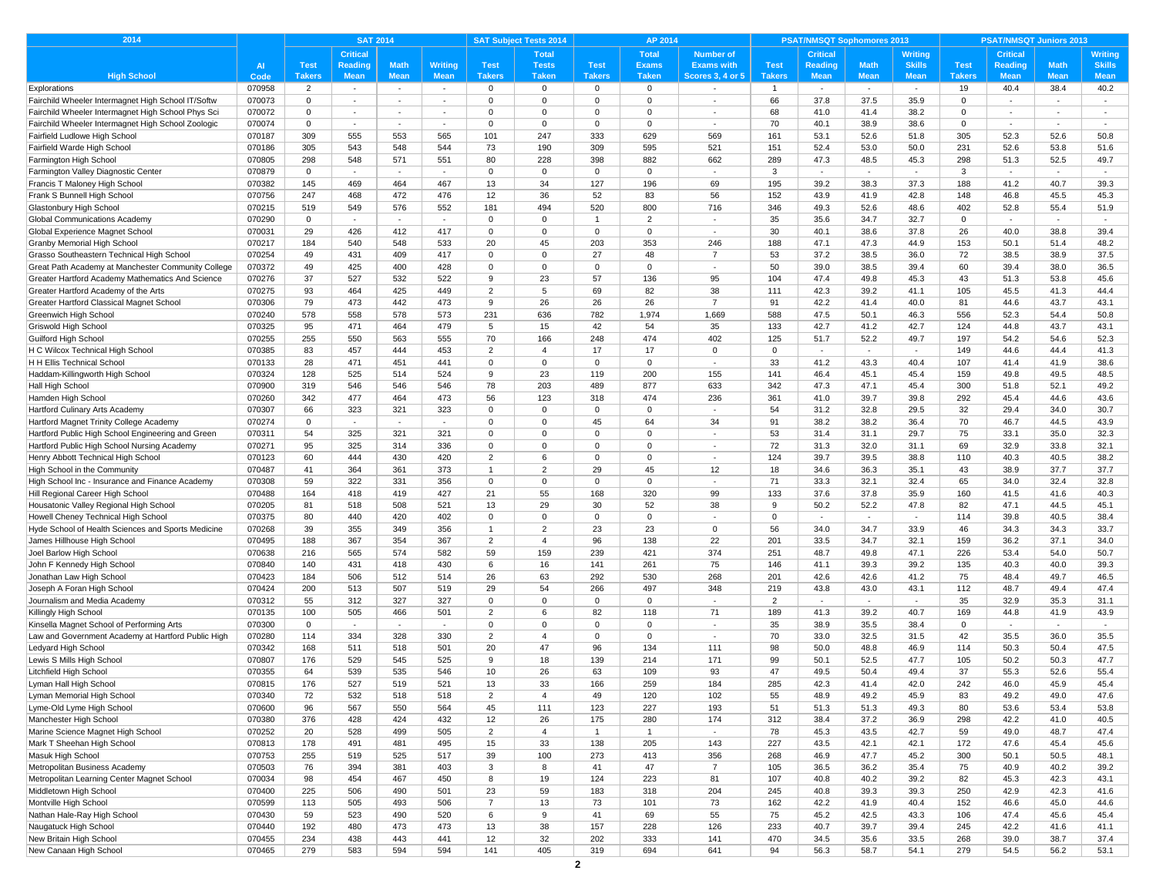| 2014                                                                 |                  | <b>SAT 2014</b> |                          |                          |                |                | <b>SAT Subject Tests 2014</b> |                 | AP 2014        |                          |                | <b>PSAT/NMSQT Sophomores 2013</b> |                          |                          | <b>PSAT/NMSQT Juniors 2013</b> |                 |              |                          |
|----------------------------------------------------------------------|------------------|-----------------|--------------------------|--------------------------|----------------|----------------|-------------------------------|-----------------|----------------|--------------------------|----------------|-----------------------------------|--------------------------|--------------------------|--------------------------------|-----------------|--------------|--------------------------|
|                                                                      |                  |                 | <b>Critical</b>          |                          |                |                | <b>Total</b>                  |                 | <b>Total</b>   | <b>Number of</b>         |                | <b>Critical</b>                   |                          | Writing                  |                                | <b>Critical</b> |              | <b>Writing</b>           |
|                                                                      | <b>AI</b>        | <b>Test</b>     | <b>Reading</b>           | <b>Math</b>              | <b>Writing</b> | <b>Test</b>    | <b>Tests</b>                  | <b>Test</b>     | <b>Exams</b>   | <b>Exams with</b>        | <b>Test</b>    | <b>Reading</b>                    | <b>Math</b>              | <b>Skills</b>            | <b>Test</b>                    | Reading         | <b>Math</b>  | <b>Skills</b>            |
| <b>High School</b>                                                   | Code             | <b>Takers</b>   | <b>Mean</b>              | <b>Mean</b>              | <b>Mean</b>    | <b>Takers</b>  | <b>Taken</b>                  | <b>Takers</b>   | <b>Taken</b>   | <b>Scores 3, 4 or 5</b>  | <b>Takers</b>  | Mean                              | <b>Mean</b>              | <b>Mean</b>              | <b>Takers</b>                  | <b>Mean</b>     | <b>Mean</b>  | <b>Mean</b>              |
| Explorations                                                         | 070958           | $\overline{2}$  | $\sim$                   | $\sim$                   | $\sim$         | $\mathbf 0$    | $\mathbf 0$                   | $\mathbf{0}$    | $\mathbf{0}$   |                          | $\mathbf{1}$   | $\sim$                            | $\sim$                   | $\sim$                   | 19                             | 40.4            | 38.4         | 40.2                     |
| Fairchild Wheeler Intermagnet High School IT/Softw                   | 070073           | $\mathbf 0$     | $\sim$                   | $\sim$                   | $\sim$         | $\mathbf 0$    | $\mathbf 0$                   | $\mathbf 0$     | $\mathbf 0$    | $\overline{\phantom{a}}$ | 66             | 37.8                              | 37.5                     | 35.9                     | $\mathbf 0$                    |                 | $\sim$       | $\sim$                   |
| Fairchild Wheeler Intermagnet High School Phys Sci                   | 070072           | $\mathbf 0$     | $\sim$                   | $\sim$                   | $\sim$         | $\Omega$       | $\Omega$                      | $\mathbf 0$     | $\Omega$       | ٠                        | 68             | 41.0                              | 41.4                     | 38.2                     | $\Omega$                       |                 | $\sim$       | $\sim$                   |
| Fairchild Wheeler Intermagnet High School Zoologic                   | 070074           | $\mathbf 0$     | $\sim$                   | $\sim$                   | $\sim$         | $\mathbf 0$    | $\mathbf{0}$                  | $\mathbf 0$     | $\mathbf 0$    | $\sim$                   | 70             | 40.1                              | 38.9                     | 38.6                     | $\mathbf 0$                    | $\sim$          | $\sim$       | $\sim$                   |
| Fairfield Ludlowe High School                                        | 070187           | 309             | 555                      | 553                      | 565            | 101            | 247                           | 333             | 629            | 569                      | 161            | 53.1                              | 52.6                     | 51.8                     | 305                            | 52.3            | 52.6         | 50.8                     |
| Fairfield Warde High Schoo                                           | 070186           | 305             | 543                      | 548                      | 544            | 73             | 190                           | 309             | 595            | 521                      | 151            | 52.4                              | 53.0                     | 50.0                     | 231                            | 52.6            | 53.8         | 51.6                     |
| Farmington High School                                               | 070805           | 298             | 548                      | 571                      | 551            | 80             | 228                           | 398             | 882            | 662                      | 289            | 47.3                              | 48.5                     | 45.3                     | 298                            | 51.3            | 52.5         | 49.7                     |
| Farmington Valley Diagnostic Center<br>Francis T Maloney High School | 070879           | $\Omega$        | $\sim$                   | $\sim$                   | $\sim$         | $\Omega$<br>13 | $\mathbf{0}$                  | $\Omega$<br>127 | $\mathbf{0}$   | $\sim$                   | 3<br>195       | $\sim$                            | $\sim$                   | $\sim$                   | 3<br>188                       | $\sim$<br>41.2  | $\sim$       | $\sim$                   |
|                                                                      | 070382           | 145             | 469                      | 464                      | 467            |                | 34                            |                 | 196            | 69                       |                | 39.2                              | 38.3                     | 37.3                     |                                |                 | 40.7         | 39.3                     |
| Frank S Bunnell High School                                          | 070756<br>070215 | 247<br>519      | 468<br>549               | 472<br>576               | 476<br>552     | 12<br>181      | 36<br>494                     | 52<br>520       | 83<br>800      | 56<br>716                | 152<br>346     | 43.9<br>49.3                      | 41.9<br>52.6             | 42.8<br>48.6             | 148<br>402                     | 46.8<br>52.8    | 45.5<br>55.4 | 45.3<br>51.9             |
| Glastonbury High School<br>Global Communications Academy             | 070290           | $\mathbf 0$     | $\overline{\phantom{a}}$ | $\overline{\phantom{a}}$ | $\sim$         | $\Omega$       | $\mathbf 0$                   | -1              | 2              |                          | 35             | 35.6                              | 34.7                     | 32.7                     | $\mathbf 0$                    |                 | $\sim$       | $\sim$                   |
| Global Experience Magnet School                                      | 070031           | 29              | 426                      | 412                      | 417            | $\Omega$       | $\Omega$                      | $\overline{0}$  | $\mathbf 0$    | $\sim$                   | 30             | 40.1                              | 38.6                     | 37.8                     | 26                             | 40.0            | 38.8         | 39.4                     |
| <b>Granby Memorial High School</b>                                   | 070217           | 184             | 540                      | 548                      | 533            | 20             | 45                            | 203             | 353            | 246                      | 188            | 47.1                              | 47.3                     | 44.9                     | 153                            | 50.1            | 51.4         | 48.2                     |
| Grasso Southeastern Technical High School                            | 070254           | 49              | 431                      | 409                      | 417            | $\Omega$       | $\mathbf 0$                   | 27              | 48             | $\overline{7}$           | 53             | 37.2                              | 38.5                     | 36.0                     | 72                             | 38.5            | 38.9         | 37.5                     |
| Great Path Academy at Manchester Community College                   | 070372           | 49              | 425                      | 400                      | 428            | $\mathbf 0$    | $\mathbf 0$                   | $\mathbf 0$     | $\mathbf 0$    | $\sim$                   | 50             | 39.0                              | 38.5                     | 39.4                     | 60                             | 39.4            | 38.0         | 36.5                     |
| Greater Hartford Academy Mathematics And Science                     | 070276           | 37              | 527                      | 532                      | 522            | 9              | 23                            | 57              | 136            | 95                       | 104            | 47.4                              | 49.8                     | 45.3                     | 43                             | 51.3            | 53.8         | 45.6                     |
| Greater Hartford Academy of the Arts                                 | 070275           | 93              | 464                      | 425                      | 449            | $\overline{2}$ | 5                             | 69              | 82             | 38                       | 111            | 42.3                              | 39.2                     | 41.1                     | 105                            | 45.5            | 41.3         | 44.4                     |
| Greater Hartford Classical Magnet School                             | 070306           | 79              | 473                      | 442                      | 473            | 9              | 26                            | 26              | 26             | $\overline{7}$           | 91             | 42.2                              | 41.4                     | 40.0                     | 81                             | 44.6            | 43.7         | 43.1                     |
| Greenwich High School                                                | 070240           | 578             | 558                      | 578                      | 573            | 231            | 636                           | 782             | 1,974          | 1,669                    | 588            | 47.5                              | 50.1                     | 46.3                     | 556                            | 52.3            | 54.4         | 50.8                     |
| Griswold High School                                                 | 070325           | 95              | 471                      | 464                      | 479            | 5              | 15                            | 42              | 54             | 35                       | 133            | 42.7                              | 41.2                     | 42.7                     | 124                            | 44.8            | 43.7         | 43.1                     |
| Guilford High School                                                 | 070255           | 255             | 550                      | 563                      | 555            | 70             | 166                           | 248             | 474            | 402                      | 125            | 51.7                              | 52.2                     | 49.7                     | 197                            | 54.2            | 54.6         | 52.3                     |
| H C Wilcox Technical High School                                     | 070385           | 83              | 457                      | 444                      | 453            | $\overline{2}$ | $\overline{4}$                | 17              | 17             | $\Omega$                 | $\Omega$       | $\overline{\phantom{a}}$          | $\overline{\phantom{a}}$ |                          | 149                            | 44.6            | 44.4         | 41.3                     |
| H H Ellis Technical School                                           | 070133           | 28              | 471                      | 451                      | 441            | $\Omega$       | $\mathbf 0$                   | $\overline{0}$  | $\mathbf 0$    | $\sim$                   | 33             | 41.2                              | 43.3                     | 40.4                     | 107                            | 41.4            | 41.9         | 38.6                     |
| Haddam-Killingworth High School                                      | 070324           | 128             | 525                      | 514                      | 524            | 9              | 23                            | 119             | 200            | 155                      | 141            | 46.4                              | 45.1                     | 45.4                     | 159                            | 49.8            | 49.5         | 48.5                     |
| Hall High School                                                     | 070900           | 319             | 546                      | 546                      | 546            | 78             | 203                           | 489             | 877            | 633                      | 342            | 47.3                              | 47.1                     | 45.4                     | 300                            | 51.8            | 52.1         | 49.2                     |
| Hamden High School                                                   | 070260           | 342             | 477                      | 464                      | 473            | 56             | 123                           | 318             | 474            | 236                      | 361            | 41.0                              | 39.7                     | 39.8                     | 292                            | 45.4            | 44.6         | 43.6                     |
| Hartford Culinary Arts Academy                                       | 070307           | 66              | 323                      | 321                      | 323            | $\Omega$       | $\Omega$                      | $\mathbf 0$     | $\Omega$       | $\sim$                   | 54             | 31.2                              | 32.8                     | 29.5                     | 32                             | 29.4            | 34.0         | 30.7                     |
| Hartford Magnet Trinity College Academy                              | 070274           | $\mathbf 0$     | $\sim$                   | $\sim$                   | $\sim$         | $\Omega$       | $\mathbf 0$                   | 45              | 64             | 34                       | 91             | 38.2                              | 38.2                     | 36.4                     | 70                             | 46.7            | 44.5         | 43.9                     |
| Hartford Public High School Engineering and Green                    | 070311           | 54              | 325                      | 321                      | 321            | $\Omega$       | $\mathbf 0$                   | $\mathbf 0$     | 0              | $\overline{\phantom{a}}$ | 53             | 31.4                              | 31.1                     | 29.7                     | 75                             | 33.1            | 35.0         | 32.3                     |
| Hartford Public High School Nursing Academy                          | 070271           | 95              | 325                      | 314                      | 336            | $\Omega$       | $\mathbf 0$                   | $\mathbf 0$     | $\mathbf 0$    | $\sim$                   | 72             | 31.3                              | 32.0                     | 31.1                     | 69                             | 32.9            | 33.8         | 32.1                     |
| Henry Abbott Technical High School                                   | 070123           | 60              | 444                      | 430                      | 420            | 2              | 6                             | $\mathbf 0$     | $\Omega$       | $\overline{\phantom{a}}$ | 124            | 39.7                              | 39.5                     | 38.8                     | 110                            | 40.3            | 40.5         | 38.2                     |
| High School in the Community                                         | 070487           | 41              | 364                      | 361                      | 373            | -1             | $\overline{2}$                | 29              | 45             | 12                       | 18             | 34.6                              | 36.3                     | 35.1                     | 43                             | 38.9            | 37.7         | 37.7                     |
| High School Inc - Insurance and Finance Academy                      | 070308           | 59              | 322                      | 331                      | 356            | $\mathbf 0$    | $\mathbf 0$                   | $\mathbf 0$     | $\mathbf 0$    | ÷,                       | 71             | 33.3                              | 32.1                     | 32.4                     | 65                             | 34.0            | 32.4         | 32.8                     |
| Hill Regional Career High School                                     | 070488           | 164             | 418                      | 419                      | 427            | 21             | 55                            | 168             | 320            | 99                       | 133            | 37.6                              | 37.8                     | 35.9                     | 160                            | 41.5            | 41.6         | 40.3                     |
| Housatonic Valley Regional High School                               | 070205           | 81              | 518                      | 508                      | 521            | 13             | 29                            | 30              | 52             | 38                       | 9              | 50.2                              | 52.2                     | 47.8                     | 82                             | 47.1            | 44.5         | 45.1                     |
| Howell Cheney Technical High School                                  | 070375           | 80              | 440                      | 420                      | 402            | $\Omega$       | $^{\circ}$                    | $\mathbf 0$     | $\mathbf 0$    | ÷,                       | 0              | $\blacksquare$                    | $\overline{\phantom{a}}$ | $\overline{\phantom{a}}$ | 114                            | 39.8            | 40.5         | 38.4                     |
| Hyde School of Health Sciences and Sports Medicine                   | 070268           | 39              | 355                      | 349                      | 356            | $\overline{1}$ | 2                             | 23              | 23             | $\overline{0}$           | 56             | 34.0                              | 34.7                     | 33.9                     | 46                             | 34.3            | 34.3         | 33.7                     |
| James Hillhouse High School                                          | 070495           | 188             | 367                      | 354                      | 367            | 2              | $\overline{4}$                | 96              | 138            | 22                       | 201            | 33.5                              | 34.7                     | 32.1                     | 159                            | 36.2            | 37.1         | 34.0                     |
| Joel Barlow High School                                              | 070638           | 216             | 565                      | 574                      | 582            | 59             | 159                           | 239             | 421            | 374                      | 251            | 48.7                              | 49.8                     | 47.1                     | 226                            | 53.4            | 54.0         | 50.7                     |
| John F Kennedy High Schoo                                            | 070840           | 140             | 431                      | 418                      | 430            | 6              | 16                            | 141             | 261            | 75                       | 146            | 41.1                              | 39.3                     | 39.2                     | 135                            | 40.3            | 40.0         | 39.3                     |
| Jonathan Law High School                                             | 070423           | 184             | 506                      | 512                      | 514            | 26             | 63                            | 292             | 530            | 268                      | 201            | 42.6                              | 42.6                     | 41.2                     | 75                             | 48.4            | 49.7         | 46.5                     |
| Joseph A Foran High School                                           | 070424           | 200             | 513                      | 507                      | 519            | 29             | 54                            | 266             | 497            | 348                      | 219            | 43.8                              | 43.0                     | 43.1                     | 112                            | 48.7            | 49.4         | 47.4                     |
| Journalism and Media Academy                                         | 070312           | 55              | 312                      | 327                      | 327            | $\Omega$       | $\Omega$                      | $\Omega$        | $\mathbf{0}$   | $\sim$                   | $\overline{2}$ | $\sim$                            | $\sim$                   | $\sim$                   | 35                             | 32.9            | 35.3         | 31.1                     |
| Killingly High School                                                | 070135           | 100             | 505                      | 466                      | 501            | 2              | 6                             | 82              | 118            | 71                       | 189            | 41.3                              | 39.2                     | 40.7                     | 169                            | 44.8            | 41.9         | 43.9                     |
| Kinsella Magnet School of Performing Arts                            | 070300           | $\mathbf 0$     | $\overline{\phantom{a}}$ | $\sim$                   | $\sim$         | $\Omega$       | $\Omega$                      | $\mathbf 0$     | $\mathbf 0$    | ÷,                       | 35             | 38.9                              | 35.5                     | 38.4                     | $\Omega$                       |                 | $\sim$       | $\overline{\phantom{a}}$ |
| Law and Government Academy at Hartford Public High                   | 070280           | 114             | 334                      | 328                      | 330            | 2              | $\overline{4}$                | $\mathbf 0$     | $\mathbf 0$    | $\overline{\phantom{a}}$ | 70             | 33.0                              | 32.5                     | 31.5                     | 42                             | 35.5            | 36.0         | 35.5                     |
| Ledyard High School                                                  | 070342           | 168             | 511                      | 518                      | 501            | 20             | 47                            | 96              | 134            | 111                      | 98             | 50.0                              | 48.8                     | 46.9                     | 114                            | 50.3            | 50.4         | 47.5                     |
| Lewis S Mills High School                                            | 070807           | 176             | 529                      | 545                      | 525            | 9              | 18                            | 139             | 214            | 171                      | 99             | 50.1                              | 52.5                     | 47.7                     | 105                            | 50.2            | 50.3         | 47.7                     |
| Litchfield High School                                               | 070355           | 64              | 539                      | 535                      | 546            | 10             | 26                            | 63              | 109            | 93                       | 47             | 49.5                              | 50.4                     | 49.4                     | 37                             | 55.3            | 52.6         | 55.4                     |
| Lyman Hall High School                                               | 070815           | 176             | 527                      | 519                      | 521            | 13             | 33                            | 166             | 259            | 184                      | 285            | 42.3                              | 41.4                     | 42.0                     | 242                            | 46.0            | 45.9         | 45.4                     |
| Lyman Memorial High School                                           | 070340           | 72              | 532                      | 518                      | 518            | $\overline{2}$ | $\overline{4}$                | 49              | 120            | 102                      | 55             | 48.9                              | 49.2                     | 45.9                     | 83                             | 49.2            | 49.0         | 47.6                     |
| Lyme-Old Lyme High School                                            | 070600           | 96              | 567                      | 550                      | 564            | 45             | 111                           | 123             | 227            | 193                      | 51             | 51.3                              | 51.3                     | 49.3                     | 80                             | 53.6            | 53.4         | 53.8                     |
| Manchester High School                                               | 070380           | 376             | 428                      | 424                      | 432            | 12             | 26                            | 175             | 280            | 174                      | 312            | 38.4                              | 37.2                     | 36.9                     | 298                            | 42.2            | 41.0         | 40.5                     |
| Marine Science Magnet High School                                    | 070252           | 20              | 528                      | 499                      | 505            | $\overline{2}$ | $\overline{4}$                | $\mathbf{1}$    | $\overline{1}$ | $\overline{\phantom{a}}$ | 78             | 45.3                              | 43.5                     | 42.7                     | 59                             | 49.0            | 48.7         | 47.4                     |
| Mark T Sheehan High School                                           | 070813           | 178             | 491                      | 481                      | 495            | 15             | 33                            | 138             | 205            | 143                      | 227            | 43.5                              | 42.1                     | 42.1                     | 172                            | 47.6            | 45.4         | 45.6                     |
| Masuk High School                                                    | 070753           | 255             | 519                      | 525                      | 517            | 39             | 100                           | 273             | 413            | 356                      | 268            | 46.9                              | 47.7                     | 45.2                     | 300                            | 50.1            | 50.5         | 48.1                     |
| Metropolitan Business Academy                                        | 070503           | 76              | 394                      | 381                      | 403            | 3              | 8                             | 41              | 47             | $\overline{7}$           | 105            | 36.5                              | 36.2                     | 35.4                     | 75                             | 40.9            | 40.2         | 39.2                     |
| Metropolitan Learning Center Magnet School                           | 070034           | 98              | 454                      | 467                      | 450            | 8              | 19                            | 124             | 223            | 81                       | 107            | 40.8                              | 40.2                     | 39.2                     | 82                             | 45.3            | 42.3         | 43.1                     |
| Middletown High School                                               | 070400           | 225             | 506                      | 490                      | 501            | 23             | 59                            | 183             | 318            | 204                      | 245            | 40.8                              | 39.3                     | 39.3                     | 250                            | 42.9            | 42.3         | 41.6                     |
| Montville High School                                                | 070599           | 113             | 505                      | 493                      | 506            | $\overline{7}$ | 13                            | 73              | 101            | 73                       | 162            | 42.2                              | 41.9                     | 40.4                     | 152                            | 46.6            | 45.0         | 44.6                     |
| Nathan Hale-Ray High School                                          | 070430           | 59              | 523                      | 490                      | 520            | 6              | 9                             | 41              | 69             | 55                       | 75             | 45.2                              | 42.5                     | 43.3                     | 106                            | 47.4            | 45.6         | 45.4                     |
| Naugatuck High School                                                | 070440           | 192             | 480                      | 473                      | 473            | 13             | 38                            | 157             | 228            | 126                      | 233            | 40.7                              | 39.7                     | 39.4                     | 245                            | 42.2            | 41.6         | 41.1                     |
| New Britain High School                                              | 070455           | 234             | 438                      | 443                      | 441            | 12             | 32                            | 202             | 333            | 141                      | 470            | 34.5                              | 35.6                     | 33.5                     | 268                            | 39.0            | 38.7         | 37.4                     |
| New Canaan High School                                               | 070465           | 279             | 583                      | 594                      | 594            | 141            | 405                           | 319             | 694            | 641                      | 94             | 56.3                              | 58.7                     | 54.1                     | 279                            | 54.5            | 56.2         | 53.1                     |
|                                                                      |                  |                 |                          |                          |                |                |                               | $\mathbf{2}$    |                |                          |                |                                   |                          |                          |                                |                 |              |                          |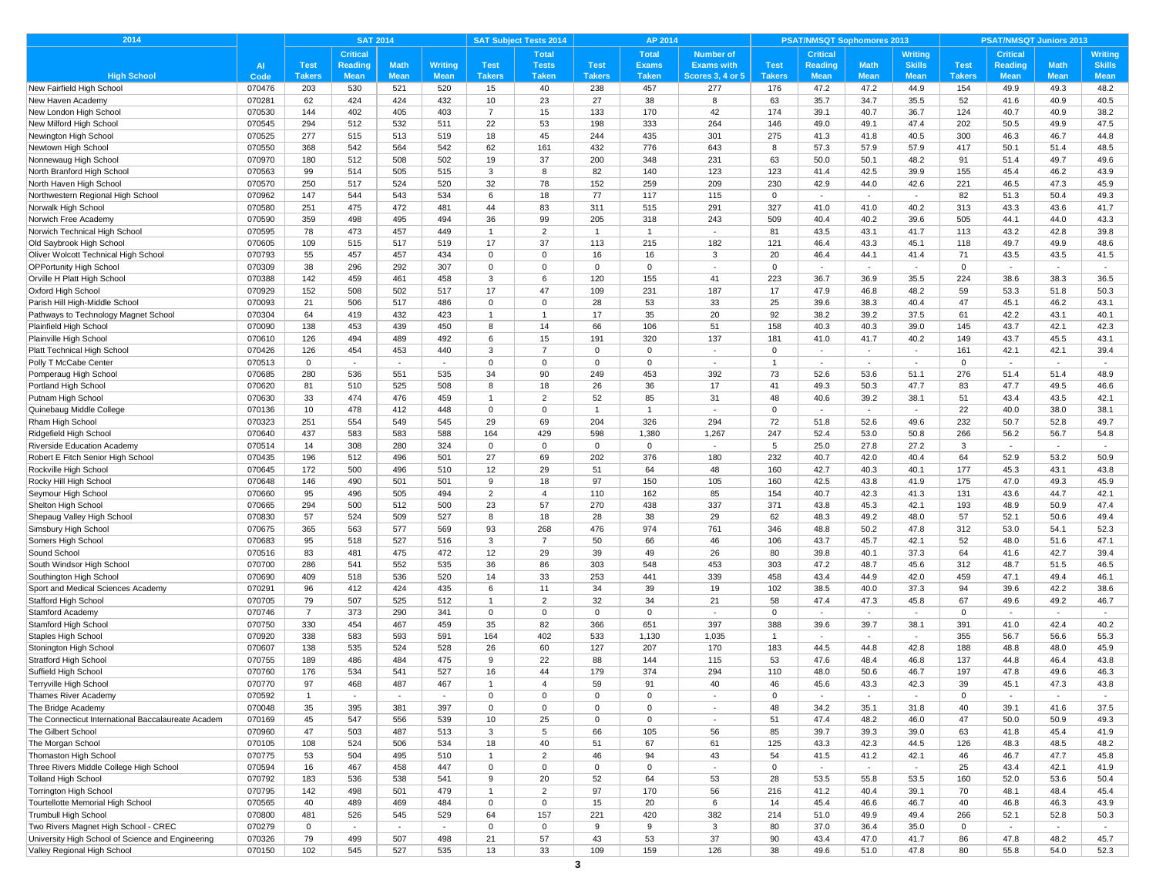| 2014                                                  | <b>SAT 2014</b>  |                      |             |             |                | <b>SAT Subject Tests 2014</b><br>AP 2014 |                |                   |                |                          |                | <b>PSAT/NMSQT Sophomores 2013</b> |                          |                          | <b>PSAT/NMSQT Juniors 2013</b> |                 |                |                |  |
|-------------------------------------------------------|------------------|----------------------|-------------|-------------|----------------|------------------------------------------|----------------|-------------------|----------------|--------------------------|----------------|-----------------------------------|--------------------------|--------------------------|--------------------------------|-----------------|----------------|----------------|--|
|                                                       |                  |                      | Critical    |             |                |                                          | <b>Total</b>   |                   | <b>Total</b>   | <b>Number of</b>         |                | <b>Critical</b>                   |                          | Writing                  |                                | <b>Critical</b> |                | Writing        |  |
|                                                       | <b>AI</b>        | <b>Test</b>          | Reading     | <b>Math</b> | <b>Writing</b> | <b>Test</b>                              | <b>Tests</b>   | <b>Test</b>       | <b>Exams</b>   | <b>Exams with</b>        | <b>Test</b>    | Reading                           | <b>Math</b>              | <b>Skills</b>            | <b>Test</b>                    | <b>Reading</b>  | <b>Math</b>    | <b>Skills</b>  |  |
| <b>High School</b>                                    | Code             | Takers               | <b>Mean</b> | <b>Mean</b> | <b>Mean</b>    | <b>Takers</b>                            | <b>Taken</b>   | <b>Takers</b>     | <b>Taken</b>   | <b>Scores 3, 4 or 5</b>  | <b>Takers</b>  | <b>Mean</b>                       | <b>Mean</b>              | <b>Mean</b>              | <b>Takers</b>                  | <b>Mean</b>     | <b>Mean</b>    | <b>Mean</b>    |  |
| New Fairfield High School                             | 070476           | 203                  | 530         | 521         | 520            | 15                                       | 40             | 238               | 457            | 277                      | 176            | 47.2                              | 47.2                     | 44.9                     | 154                            | 49.9            | 49.3           | 48.2           |  |
| New Haven Academy                                     | 070281           | 62                   | 424         | 424         | 432            | 10                                       | 23             | 27                | 38             | 8                        | 63             | 35.7                              | 34.7                     | 35.5                     | 52                             | 41.6            | 40.9           | 40.5           |  |
| New London High School                                | 070530           | 144                  | 402         | 405         | 403            | $\overline{7}$                           | 15             | 133               | 170            | 42                       | 174            | 39.1                              | 40.7                     | 36.7                     | 124                            | 40.7            | 40.9           | 38.2           |  |
| New Milford High School                               | 070545           | 294                  | 512         | 532         | 511            | 22                                       | 53             | 198               | 333            | 264                      | 146            | 49.0                              | 49.1                     | 47.4                     | 202                            | 50.5            | 49.9           | 47.5           |  |
| Newington High School                                 | 070525           | 277                  | 515         | 513         | 519            | 18                                       | 45             | 244               | 435            | 301                      | 275            | 41.3                              | 41.8                     | 40.5                     | 300                            | 46.3            | 46.7           | 44.8           |  |
| Newtown High School                                   | 070550           | 368                  | 542         | 564         | 542            | 62                                       | 161            | 432               | 776            | 643                      | 8              | 57.3                              | 57.9                     | 57.9                     | 417                            | 50.1            | 51.4           | 48.5           |  |
| Nonnewaug High Schoo                                  | 070970           | 180                  | 512         | 508         | 502            | 19                                       | 37             | 200               | 348            | 231                      | 63             | 50.0                              | 50.1                     | 48.2                     | 91                             | 51.4            | 49.7           | 49.6           |  |
| North Branford High School                            | 070563           | 99                   | 514         | 505         | 515            | 3                                        | 8              | 82                | 140            | 123                      | 123            | 41.4                              | 42.5                     | 39.9                     | 155                            | 45.4            | 46.2           | 43.9           |  |
| North Haven High School                               | 070570           | 250                  | 517         | 524         | 520            | 32                                       | 78             | 152               | 259            | 209                      | 230            | 42.9                              | 44.0                     | 42.6                     | 221                            | 46.5            | 47.3           | 45.9           |  |
| Northwestern Regional High School                     | 070962           | 147                  | 544         | 543         | 534            | 6                                        | 18             | 77                | 117            | 115                      | $\Omega$       | $\sim$                            | $\sim$                   | $\sim$                   | 82                             | 51.3            | 50.4           | 49.3           |  |
| Norwalk High School                                   | 070580           | 251<br>359           | 475<br>498  | 472<br>495  | 481<br>494     | 44<br>36                                 | 83<br>99       | 311<br>205        | 515<br>318     | 291<br>243               | 327<br>509     | 41.0<br>40.4                      | 41.0<br>40.2             | 40.2<br>39.6             | 313<br>505                     | 43.3<br>44.1    | 43.6<br>44.0   | 41.7<br>43.3   |  |
| Norwich Free Academy<br>Norwich Technical High School | 070590<br>070595 | 78                   | 473         | 457         | 449            | $\mathbf{1}$                             | $\overline{2}$ | $\overline{1}$    | $\mathbf{1}$   | ×.                       | 81             | 43.5                              | 43.1                     | 41.7                     | 113                            | 43.2            | 42.8           | 39.8           |  |
| Old Saybrook High School                              | 070605           | 109                  | 515         | 517         | 519            | 17                                       | 37             | 113               | 215            | 182                      | 121            | 46.4                              | 43.3                     | 45.1                     | 118                            | 49.7            | 49.9           | 48.6           |  |
| Oliver Wolcott Technical High School                  | 070793           | 55                   | 457         | 457         | 434            | $\Omega$                                 | $\mathbf 0$    | 16                | 16             | 3                        | 20             | 46.4                              | 44.1                     | 41.4                     | 71                             | 43.5            | 43.5           | 41.5           |  |
| <b>OPPortunity High School</b>                        | 070309           | 38                   | 296         | 292         | 307            | $\mathbf 0$                              | $\mathbf 0$    | $\mathbf 0$       | $\mathbf 0$    | $\sim$                   | $\Omega$       |                                   | $\sim$                   |                          | $\mathbf 0$                    |                 | $\sim$         | $\sim$         |  |
| Orville H Platt High School                           | 070388           | 142                  | 459         | 461         | 458            | 3                                        | 6              | 120               | 155            | 41                       | 223            | 36.7                              | 36.9                     | 35.5                     | 224                            | 38.6            | 38.3           | 36.5           |  |
| Oxford High School                                    | 070929           | 152                  | 508         | 502         | 517            | 17                                       | 47             | 109               | 231            | 187                      | 17             | 47.9                              | 46.8                     | 48.2                     | 59                             | 53.3            | 51.8           | 50.3           |  |
| Parish Hill High-Middle School                        | 070093           | 21                   | 506         | 517         | 486            | $\Omega$                                 | $\Omega$       | 28                | 53             | 33                       | 25             | 39.6                              | 38.3                     | 40.4                     | 47                             | 45.1            | 46.2           | 43.1           |  |
| Pathways to Technology Magnet School                  | 070304           | 64                   | 419         | 432         | 423            | $\overline{1}$                           | 1              | 17                | 35             | 20                       | 92             | 38.2                              | 39.2                     | 37.5                     | 61                             | 42.2            | 43.1           | 40.1           |  |
| Plainfield High School                                | 070090           | 138                  | 453         | 439         | 450            | 8                                        | 14             | 66                | 106            | 51                       | 158            | 40.3                              | 40.3                     | 39.0                     | 145                            | 43.7            | 42.1           | 42.3           |  |
| Plainville High School                                | 070610           | 126                  | 494         | 489         | 492            | 6                                        | 15             | 191               | 320            | 137                      | 181            | 41.0                              | 41.7                     | 40.2                     | 149                            | 43.7            | 45.5           | 43.1           |  |
| Platt Technical High School                           | 070426           | 126                  | 454         | 453         | 440            | 3                                        | $\overline{7}$ | $\Omega$          | $\Omega$       |                          | $\Omega$       |                                   | $\overline{\phantom{a}}$ | $\overline{\phantom{a}}$ | 161                            | 42.1            | 42.1           | 39.4           |  |
| Polly T McCabe Center                                 | 070513           | $\mathbf 0$          | $\sim$      | $\sim$      | $\sim$         | $\Omega$                                 | $\mathbf 0$    | $\mathbf 0$       | $\Omega$       | $\sim$                   | $\overline{1}$ | $\sim$                            | $\sim$                   | $\sim$                   | $\mathbf 0$                    | $\sim$          | $\sim$         | $\sim$         |  |
| Pomperaug High School                                 | 070685           | 280                  | 536         | 551         | 535            | 34                                       | 90             | 249               | 453            | 392                      | 73             | 52.6                              | 53.6                     | 51.1                     | 276                            | 51.4            | 51.4           | 48.9           |  |
| Portland High School                                  | 070620           | 81                   | 510         | 525         | 508            | 8                                        | 18             | 26                | 36             | 17                       | 41             | 49.3                              | 50.3                     | 47.7                     | 83                             | 47.7            | 49.5           | 46.6           |  |
| Putnam High School                                    | 070630           | 33                   | 474         | 476         | 459            | $\overline{1}$                           | $\overline{2}$ | 52                | 85             | 31                       | 48             | 40.6                              | 39.2                     | 38.1                     | 51                             | 43.4            | 43.5           | 42.1           |  |
| Quinebaug Middle College                              | 070136           | 10                   | 478         | 412         | 448            | $\Omega$                                 | $\mathbf 0$    | $\overline{1}$    | $\overline{1}$ | $\sim$                   | $\Omega$       | $\sim$                            | $\sim$                   | $\sim$                   | 22                             | 40.0            | 38.0           | 38.1           |  |
| Rham High School                                      | 070323           | 251                  | 554         | 549         | 545            | 29                                       | 69             | 204               | 326            | 294                      | 72             | 51.8                              | 52.6                     | 49.6                     | 232                            | 50.7            | 52.8           | 49.7           |  |
| Ridgefield High School                                | 070640           | 437                  | 583         | 583         | 588            | 164                                      | 429            | 598               | 1,380          | 1,267                    | 247            | 52.4                              | 53.0                     | 50.8                     | 266                            | 56.2            | 56.7           | 54.8           |  |
| Riverside Education Academ                            | 070514           | 14                   | 308         | 280         | 324            | $\Omega$                                 | $\mathbf 0$    | $\mathbf 0$       | $\mathbf 0$    | $\sim$                   | 5              | 25.0                              | 27.8                     | 27.2                     | 3                              | ٠               | $\sim$         | $\sim$         |  |
| Robert E Fitch Senior High School                     | 070435           | 196                  | 512         | 496         | 501            | 27                                       | 69             | 202               | 376            | 180                      | 232            | 40.7                              | 42.0                     | 40.4                     | 64                             | 52.9            | 53.2           | 50.9           |  |
| Rockville High School                                 | 070645           | 172                  | 500         | 496         | 510            | 12                                       | 29             | 51                | 64             | 48                       | 160            | 42.7                              | 40.3                     | 40.1                     | 177                            | 45.3            | 43.1           | 43.8           |  |
| Rocky Hill High Schoo                                 | 070648           | 146                  | 490         | 501         | 501            | 9                                        | 18             | 97                | 150            | 105                      | 160            | 42.5                              | 43.8                     | 41.9                     | 175                            | 47.0            | 49.3           | 45.9           |  |
| Seymour High Schoo                                    | 070660           | 95                   | 496         | 505         | 494            | $\overline{2}$                           | $\overline{4}$ | 110               | 162            | 85                       | 154            | 40.7                              | 42.3                     | 41.3                     | 131                            | 43.6            | 44.7           | 42.1           |  |
| Shelton High School                                   | 070665           | 294                  | 500         | 512         | 500            | 23                                       | 57             | 270               | 438            | 337                      | 371            | 43.8                              | 45.3                     | 42.1                     | 193                            | 48.9            | 50.9           | 47.4           |  |
| Shepaug Valley High School                            | 070830           | 57                   | 524         | 509         | 527            | 8                                        | 18             | 28                | 38             | 29                       | 62             | 48.3                              | 49.2                     | 48.0                     | 57                             | 52.1            | 50.6           | 49.4           |  |
| Simsbury High School                                  | 070675           | 365                  | 563         | 577         | 569            | 93                                       | 268            | 476               | 974            | 761                      | 346            | 48.8                              | 50.2                     | 47.8                     | 312                            | 53.0            | 54.1           | 52.3           |  |
| Somers High School                                    | 070683           | 95                   | 518         | 527         | 516            | 3                                        | $\overline{7}$ | 50                | 66             | 46                       | 106            | 43.7                              | 45.7                     | 42.1                     | 52                             | 48.0            | 51.6           | 47.1           |  |
| Sound School                                          | 070516           | 83                   | 481         | 475         | 472            | 12                                       | 29             | 39                | 49             | 26<br>453                | 80<br>303      | 39.8                              | 40.1                     | 37.3                     | 64<br>312                      | 41.6<br>48.7    | 42.7           | 39.4           |  |
| South Windsor High School                             | 070700           | 286<br>409           | 541         | 552<br>536  | 535<br>520     | 36<br>14                                 | 86<br>33       | 303<br>253        | 548<br>441     | 339                      | 458            | 47.2<br>43.4                      | 48.7<br>44.9             | 45.6<br>42.0             | 459                            | 47.1            | 51.5           | 46.5<br>46.1   |  |
| Southington High School                               | 070690           | 96                   | 518<br>412  | 424         | 435            | 6                                        | 11             | 34                | 39             | 19                       | 102            | 38.5                              | 40.0                     | 37.3                     | 94                             | 39.6            | 49.4<br>42.2   | 38.6           |  |
| Sport and Medical Sciences Academy                    | 070291           |                      |             |             |                | -1                                       | $\overline{2}$ |                   |                |                          |                |                                   |                          |                          |                                |                 |                |                |  |
| Stafford High School<br>Stamford Academy              | 070705<br>070746 | 79<br>$\overline{7}$ | 507<br>373  | 525<br>290  | 512<br>341     | $\mathbf 0$                              | $\mathbf 0$    | 32<br>$\mathbf 0$ | 34<br>$\Omega$ | 21<br>$\sim$             | 58<br>$\Omega$ | 47.4<br>$\sim$                    | 47.3<br>$\sim$           | 45.8<br>$\sim$           | 67<br>$\mathbf 0$              | 49.6<br>٠       | 49.2<br>$\sim$ | 46.7<br>$\sim$ |  |
| Stamford High School                                  | 070750           | 330                  | 454         | 467         | 459            | 35                                       | 82             | 366               | 651            | 397                      | 388            | 39.6                              | 39.7                     | 38.1                     | 391                            | 41.0            | 42.4           | 40.2           |  |
| Staples High School                                   | 070920           | 338                  | 583         | 593         | 591            | 164                                      | 402            | 533               | 1,130          | 1,035                    | -1             | $\sim$                            | $\sim$                   | ٠                        | 355                            | 56.7            | 56.6           | 55.3           |  |
| Stonington High School                                | 070607           | 138                  | 535         | 524         | 528            | 26                                       | 60             | 127               | 207            | 170                      | 183            | 44.5                              | 44.8                     | 42.8                     | 188                            | 48.8            | 48.0           | 45.9           |  |
| Stratford High Schoo                                  | 070755           | 189                  | 486         | 484         | 475            | 9                                        | 22             | 88                | 144            | 115                      | 53             | 47.6                              | 48.4                     | 46.8                     | 137                            | 44.8            | 46.4           | 43.8           |  |
| Suffield High School                                  | 070760           | 176                  | 534         | 541         | 527            | 16                                       | 44             | 179               | 374            | 294                      | 110            | 48.0                              | 50.6                     | 46.7                     | 197                            | 47.8            | 49.6           | 46.3           |  |
| Terryville High School                                | 070770           | 97                   | 468         | 487         | 467            |                                          | 4              | 59                | 91             | 40                       | 46             | 45.6                              | 43.3                     | 42.3                     | 39                             | 45.1            | 47.3           | 43.8           |  |
| Thames River Academy                                  | 070592           | $\overline{1}$       | $\sim$      | $\sim$      | $\sim$         | $\mathbf 0$                              | $\mathbf 0$    | $\mathbf{0}$      | $\mathbf 0$    | $\sim$                   | $\mathbf{0}$   | $\sim$                            | $\sim$                   | $\sim$                   | $\overline{0}$                 | ٠               | $\sim$         |                |  |
| The Bridge Academy                                    | 070048           | 35                   | 395         | 381         | 397            | $\Omega$                                 | $\mathbf 0$    | $\mathbf{0}$      | $\mathbf 0$    | $\sim$                   | 48             | 34.2                              | 35.1                     | 31.8                     | 40                             | 39.1            | 41.6           | 37.5           |  |
| The Connecticut International Baccalaureate Academ    | 070169           | 45                   | 547         | 556         | 539            | 10                                       | 25             | $\mathbf 0$       | $\mathbf 0$    | $\overline{\phantom{a}}$ | 51             | 47.4                              | 48.2                     | 46.0                     | 47                             | 50.0            | 50.9           | 49.3           |  |
| The Gilbert School                                    | 070960           | 47                   | 503         | 487         | 513            | 3                                        | 5              | 66                | 105            | 56                       | 85             | 39.7                              | 39.3                     | 39.0                     | 63                             | 41.8            | 45.4           | 41.9           |  |
| The Morgan School                                     | 070105           | 108                  | 524         | 506         | 534            | 18                                       | 40             | 51                | 67             | 61                       | 125            | 43.3                              | 42.3                     | 44.5                     | 126                            | 48.3            | 48.5           | 48.2           |  |
| Thomaston High School                                 | 070775           | 53                   | 504         | 495         | 510            | $\mathbf{1}$                             | $\overline{2}$ | 46                | 94             | 43                       | 54             | 41.5                              | 41.2                     | 42.1                     | 46                             | 46.7            | 47.7           | 45.8           |  |
| Three Rivers Middle College High School               | 070594           | 16                   | 467         | 458         | 447            | 0                                        | $\mathbf 0$    | $\mathbf 0$       | 0              | $\sim$                   | $\mathbf 0$    | $\sim$                            | $\sim$                   | $\sim$                   | 25                             | 43.4            | 42.1           | 41.9           |  |
| <b>Tolland High School</b>                            | 070792           | 183                  | 536         | 538         | 541            | 9                                        | 20             | 52                | 64             | 53                       | 28             | 53.5                              | 55.8                     | 53.5                     | 160                            | 52.0            | 53.6           | 50.4           |  |
| Torrington High School                                | 070795           | 142                  | 498         | 501         | 479            | $\mathbf{1}$                             | $\overline{2}$ | 97                | 170            | 56                       | 216            | 41.2                              | 40.4                     | 39.1                     | 70                             | 48.1            | 48.4           | 45.4           |  |
| Tourtellotte Memorial High School                     | 070565           | 40                   | 489         | 469         | 484            | $\mathbf 0$                              | $\mathbf 0$    | 15                | 20             | 6                        | 14             | 45.4                              | 46.6                     | 46.7                     | 40                             | 46.8            | 46.3           | 43.9           |  |
| <b>Trumbull High School</b>                           | 070800           | 481                  | 526         | 545         | 529            | 64                                       | 157            | 221               | 420            | 382                      | 214            | 51.0                              | 49.9                     | 49.4                     | 266                            | 52.1            | 52.8           | 50.3           |  |
| Two Rivers Magnet High School - CREC                  | 070279           | $\mathbf 0$          | $\sim$      | $\sim$      | $\sim$         | $\mathbf 0$                              | $\overline{0}$ | 9                 | 9              | 3                        | 80             | 37.0                              | 36.4                     | 35.0                     | $\overline{0}$                 | $\sim$          | $\sim$         | $\sim$         |  |
| University High School of Science and Engineering     | 070326           | 79                   | 499         | 507         | 498            | 21                                       | 57             | 43                | 53             | 37                       | 90             | 43.4                              | 47.0                     | 41.7                     | 86                             | 47.8            | 48.2           | 45.7           |  |
| Valley Regional High School                           | 070150           | 102                  | 545         | 527         | 535            | 13                                       | 33             | 109               | 159            | 126                      | 38             | 49.6                              | 51.0                     | 47.8                     | 80                             | 55.8            | 54.0           | 52.3           |  |